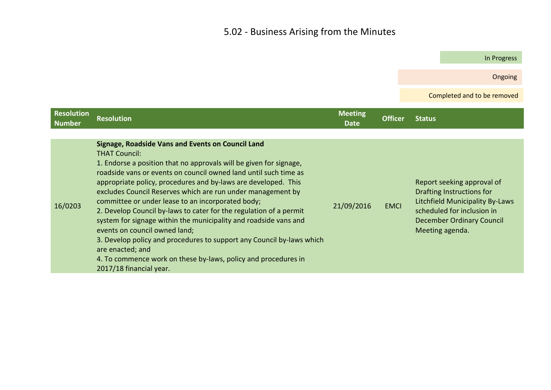## 5.02 - Business Arising from the Minutes

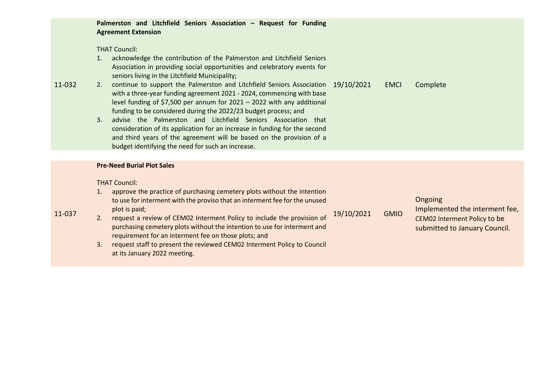|        | Palmerston and Litchfield Seniors Association - Request for Funding<br><b>Agreement Extension</b>                                                                                                                                                                                                                                                                                                                                                                                                                                                                                                                                                                                                                                                                                                                                                              |
|--------|----------------------------------------------------------------------------------------------------------------------------------------------------------------------------------------------------------------------------------------------------------------------------------------------------------------------------------------------------------------------------------------------------------------------------------------------------------------------------------------------------------------------------------------------------------------------------------------------------------------------------------------------------------------------------------------------------------------------------------------------------------------------------------------------------------------------------------------------------------------|
| 11-032 | <b>THAT Council:</b><br>acknowledge the contribution of the Palmerston and Litchfield Seniors<br>1.<br>Association in providing social opportunities and celebratory events for<br>seniors living in the Litchfield Municipality;<br>continue to support the Palmerston and Litchfield Seniors Association 19/10/2021<br>Complete<br>2.<br><b>EMCI</b><br>with a three-year funding agreement 2021 - 2024, commencing with base<br>level funding of \$7,500 per annum for 2021 - 2022 with any additional<br>funding to be considered during the 2022/23 budget process; and<br>advise the Palmerston and Litchfield Seniors Association that<br>3.<br>consideration of its application for an increase in funding for the second<br>and third years of the agreement will be based on the provision of a<br>budget identifying the need for such an increase. |
|        |                                                                                                                                                                                                                                                                                                                                                                                                                                                                                                                                                                                                                                                                                                                                                                                                                                                                |
| 11-037 | <b>Pre-Need Burial Plot Sales</b><br><b>THAT Council:</b><br>approve the practice of purchasing cemetery plots without the intention<br>1.<br>Ongoing<br>to use for interment with the proviso that an interment fee for the unused<br>Implemented the interment fee,<br>plot is paid;<br><b>GMIO</b><br>19/10/2021<br>request a review of CEM02 Interment Policy to include the provision of<br>2.<br>CEM02 Interment Policy to be<br>purchasing cemetery plots without the intention to use for interment and<br>submitted to January Council.<br>requirement for an interment fee on those plots; and<br>request staff to present the reviewed CEM02 Interment Policy to Council<br>3.<br>at its January 2022 meeting.                                                                                                                                      |